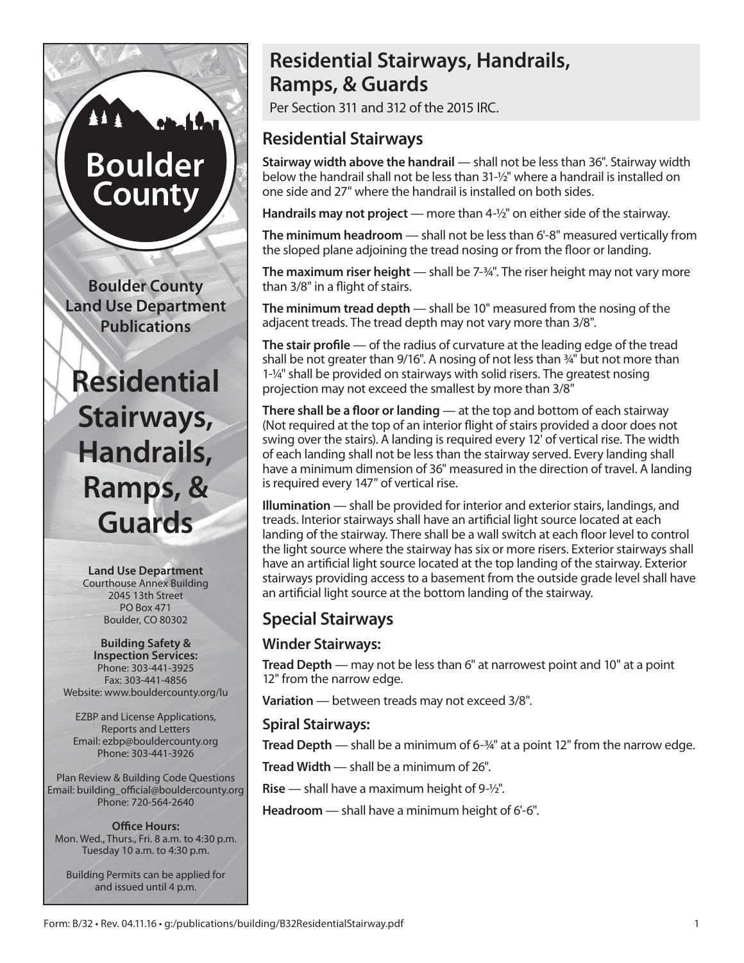# **Boulder** County

**Boulder County Land Use Department Publications**

## **Residential Stairways, Handrails, Ramps, & Guards**

**Land Use Department** Courthouse Annex Building 2045 13th Street PO Box 471 Boulder, CO 80302

**Building Safety & Inspection Services:** Phone: 303-441-3925 Fax: 303-441-4856 Website: www.bouldercounty.org/lu

EZBP and License Applications, Reports and Letters Email: ezbp@bouldercounty.org Phone: 303-441-3926

Plan Review & Building Code Questions Email: building\_official@bouldercounty.org Phone: 720-564-2640

**Office Hours:** Mon. Wed., Thurs., Fri. 8 a.m. to 4:30 p.m. Tuesday 10 a.m. to 4:30 p.m.

Building Permits can be applied for and issued until 4 p.m.

## **Residential Stairways, Handrails, Ramps, & Guards**

Per Section 311 and 312 of the 2015 IRC.

## **Residential Stairways**

**Stairway width above the handrail** — shall not be less than 36". Stairway width below the handrail shall not be less than 31-½" where a handrail is installed on one side and 27" where the handrail is installed on both sides.

**Handrails may not project** — more than 4-½" on either side of the stairway.

**The minimum headroom** — shall not be less than 6'-8" measured vertically from the sloped plane adjoining the tread nosing or from the floor or landing.

**The maximum riser height** — shall be 7-¾". The riser height may not vary more than 3/8" in a flight of stairs.

**The minimum tread depth** — shall be 10" measured from the nosing of the adjacent treads. The tread depth may not vary more than 3/8".

**The stair profile** — of the radius of curvature at the leading edge of the tread shall be not greater than 9/16". A nosing of not less than ¾" but not more than 1-¼" shall be provided on stairways with solid risers. The greatest nosing projection may not exceed the smallest by more than 3/8"

**There shall be a floor or landing** — at the top and bottom of each stairway (Not required at the top of an interior flight of stairs provided a door does not swing over the stairs). A landing is required every 12' of vertical rise. The width of each landing shall not be less than the stairway served. Every landing shall have a minimum dimension of 36" measured in the direction of travel. A landing is required every 147" of vertical rise.

**Illumination** — shall be provided for interior and exterior stairs, landings, and treads. Interior stairways shall have an artificial light source located at each landing of the stairway. There shall be a wall switch at each floor level to control the light source where the stairway has six or more risers. Exterior stairways shall have an artificial light source located at the top landing of the stairway. Exterior stairways providing access to a basement from the outside grade level shall have an artificial light source at the bottom landing of the stairway.

## **Special Stairways**

#### **Winder Stairways:**

**Tread Depth** — may not be less than 6" at narrowest point and 10" at a point 12" from the narrow edge.

**Variation** — between treads may not exceed 3/8".

#### **Spiral Stairways:**

**Tread Depth** — shall be a minimum of 6-<sup>3</sup>/4" at a point 12" from the narrow edge.

**Tread Width** — shall be a minimum of 26".

**Rise** — shall have a maximum height of 9-½".

**Headroom** — shall have a minimum height of 6'-6".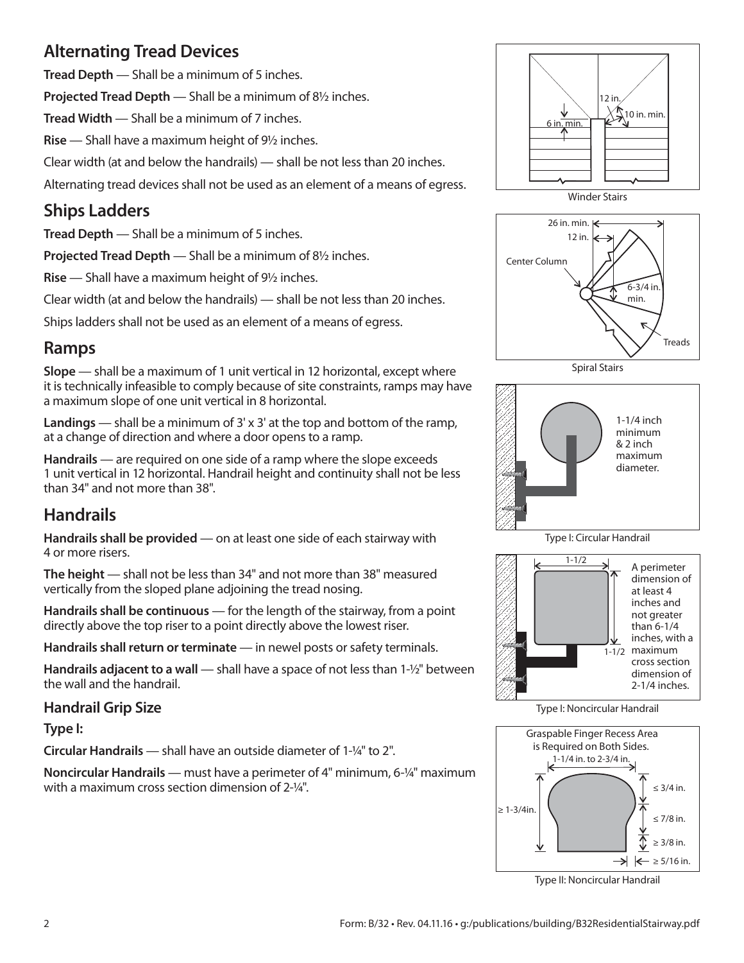## **Alternating Tread Devices**

**Tread Depth** — Shall be a minimum of 5 inches.

**Projected Tread Depth** — Shall be a minimum of 8<sup>1</sup>/<sub>2</sub> inches.

**Tread Width** — Shall be a minimum of 7 inches.

**Rise** — Shall have a maximum height of 9<sup>1</sup>/<sub>2</sub> inches.

Clear width (at and below the handrails) — shall be not less than 20 inches.

Alternating tread devices shall not be used as an element of a means of egress.

## **Ships Ladders**

**Tread Depth** — Shall be a minimum of 5 inches.

**Projected Tread Depth** — Shall be a minimum of 8<sup>1</sup>/<sub>2</sub> inches.

**Rise** — Shall have a maximum height of 9<sup>1</sup>/<sub>2</sub> inches.

Clear width (at and below the handrails) — shall be not less than 20 inches.

Ships ladders shall not be used as an element of a means of egress.

#### **Ramps**

**Slope** — shall be a maximum of 1 unit vertical in 12 horizontal, except where it is technically infeasible to comply because of site constraints, ramps may have a maximum slope of one unit vertical in 8 horizontal.

**Landings** — shall be a minimum of 3' x 3' at the top and bottom of the ramp, at a change of direction and where a door opens to a ramp.

**Handrails** — are required on one side of a ramp where the slope exceeds 1 unit vertical in 12 horizontal. Handrail height and continuity shall not be less than 34" and not more than 38".

## **Handrails**

**Handrails shall be provided** — on at least one side of each stairway with 4 or more risers.

**The height** — shall not be less than 34" and not more than 38" measured vertically from the sloped plane adjoining the tread nosing.

**Handrails shall be continuous** — for the length of the stairway, from a point directly above the top riser to a point directly above the lowest riser.

**Handrails shall return or terminate** — in newel posts or safety terminals.

**Handrails adjacent to a wall** — shall have a space of not less than 1-½" between the wall and the handrail.

#### **Handrail Grip Size**

**Type I:**

**Circular Handrails** — shall have an outside diameter of 1-¼" to 2".

**Noncircular Handrails** — must have a perimeter of 4" minimum, 6-¼" maximum with a maximum cross section dimension of 2-¼".









Type I: Circular Handrail



Type I: Noncircular Handrail



Type II: Noncircular Handrail